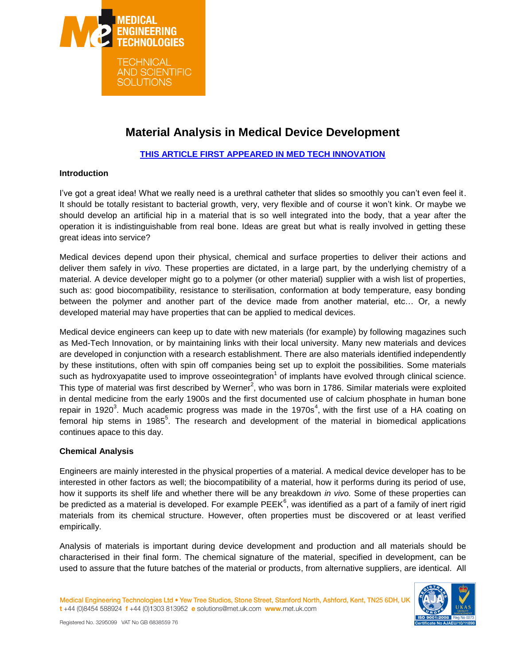

# **Material Analysis in Medical Device Development**

#### **[THIS ARTICLE FIRST APPEARED IN MED TECH INNOVATION](http://www.med-techinnovation.com/Articles/articles/article/28/Materials+Analysis)**

#### **Introduction**

I've got a great idea! What we really need is a urethral catheter that slides so smoothly you can't even feel it. It should be totally resistant to bacterial growth, very, very flexible and of course it won't kink. Or maybe we should develop an artificial hip in a material that is so well integrated into the body, that a year after the operation it is indistinguishable from real bone. Ideas are great but what is really involved in getting these great ideas into service?

Medical devices depend upon their physical, chemical and surface properties to deliver their actions and deliver them safely in *vivo.* These properties are dictated, in a large part, by the underlying chemistry of a material. A device developer might go to a polymer (or other material) supplier with a wish list of properties, such as: good biocompatibility, resistance to sterilisation, conformation at body temperature, easy bonding between the polymer and another part of the device made from another material, etc… Or, a newly developed material may have properties that can be applied to medical devices.

Medical device engineers can keep up to date with new materials (for example) by following magazines such as Med-Tech Innovation, or by maintaining links with their local university. Many new materials and devices are developed in conjunction with a research establishment. There are also materials identified independently by these institutions, often with spin off companies being set up to exploit the possibilities. Some materials such as hydroxyapatite used to improve osseointegration<sup>1</sup> of implants have evolved through clinical science. This type of material was first described by Werner<sup>2</sup>, who was born in 1786. Similar materials were exploited in dental medicine from the early 1900s and the first documented use of calcium phosphate in human bone repair in 1920<sup>3</sup>. Much academic progress was made in the 1970s<sup>4</sup>, with the first use of a HA coating on femoral hip stems in 1985<sup>5</sup>. The research and development of the material in biomedical applications continues apace to this day.

#### **Chemical Analysis**

Engineers are mainly interested in the physical properties of a material. A medical device developer has to be interested in other factors as well; the biocompatibility of a material, how it performs during its period of use, how it supports its shelf life and whether there will be any breakdown *in vivo.* Some of these properties can be predicted as a material is developed. For example PEEK $^6$ , was identified as a part of a family of inert rigid materials from its chemical structure. However, often properties must be discovered or at least verified empirically.

Analysis of materials is important during device development and production and all materials should be characterised in their final form. The chemical signature of the material, specified in development, can be used to assure that the future batches of the material or products, from alternative suppliers, are identical. All

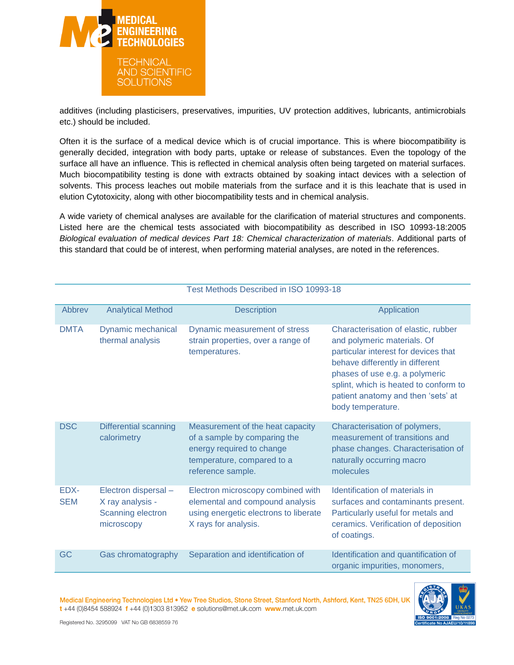

additives (including plasticisers, preservatives, impurities, UV protection additives, lubricants, antimicrobials etc.) should be included.

Often it is the surface of a medical device which is of crucial importance. This is where biocompatibility is generally decided, integration with body parts, uptake or release of substances. Even the topology of the surface all have an influence. This is reflected in chemical analysis often being targeted on material surfaces. Much biocompatibility testing is done with extracts obtained by soaking intact devices with a selection of solvents. This process leaches out mobile materials from the surface and it is this leachate that is used in elution Cytotoxicity, along with other biocompatibility tests and in chemical analysis.

A wide variety of chemical analyses are available for the clarification of material structures and components. Listed here are the chemical tests associated with biocompatibility as described in ISO 10993-18:2005 *Biological evaluation of medical devices Part 18: Chemical characterization of materials*. Additional parts of this standard that could be of interest, when performing material analyses, are noted in the references.

| <u>I est Methods Described III 190 T0999-To</u> |                                                                             |                                                                                                                                                  |                                                                                                                                                                                                                                                                                     |  |
|-------------------------------------------------|-----------------------------------------------------------------------------|--------------------------------------------------------------------------------------------------------------------------------------------------|-------------------------------------------------------------------------------------------------------------------------------------------------------------------------------------------------------------------------------------------------------------------------------------|--|
| Abbrev                                          | <b>Analytical Method</b>                                                    | <b>Description</b>                                                                                                                               | Application                                                                                                                                                                                                                                                                         |  |
| <b>DMTA</b>                                     | Dynamic mechanical<br>thermal analysis                                      | Dynamic measurement of stress<br>strain properties, over a range of<br>temperatures.                                                             | Characterisation of elastic, rubber<br>and polymeric materials. Of<br>particular interest for devices that<br>behave differently in different<br>phases of use e.g. a polymeric<br>splint, which is heated to conform to<br>patient anatomy and then 'sets' at<br>body temperature. |  |
| <b>DSC</b>                                      | <b>Differential scanning</b><br>calorimetry                                 | Measurement of the heat capacity<br>of a sample by comparing the<br>energy required to change<br>temperature, compared to a<br>reference sample. | Characterisation of polymers,<br>measurement of transitions and<br>phase changes. Characterisation of<br>naturally occurring macro<br>molecules                                                                                                                                     |  |
| EDX-<br><b>SEM</b>                              | Electron dispersal -<br>X ray analysis -<br>Scanning electron<br>microscopy | Electron microscopy combined with<br>elemental and compound analysis<br>using energetic electrons to liberate<br>X rays for analysis.            | Identification of materials in<br>surfaces and contaminants present.<br>Particularly useful for metals and<br>ceramics. Verification of deposition<br>of coatings.                                                                                                                  |  |
| GC                                              | Gas chromatography                                                          | Separation and identification of                                                                                                                 | Identification and quantification of<br>organic impurities, monomers,                                                                                                                                                                                                               |  |

Medical Engineering Technologies Ltd . Yew Tree Studios, Stone Street, Stanford North, Ashford, Kent, TN25 6DH, UK t+44 (0)8454 588924 f+44 (0)1303 813952 e solutions@met.uk.com www.met.uk.com



Registered No. 3295099 VAT No GB 6838559 76

# Test Methods Described in ISO 10003-18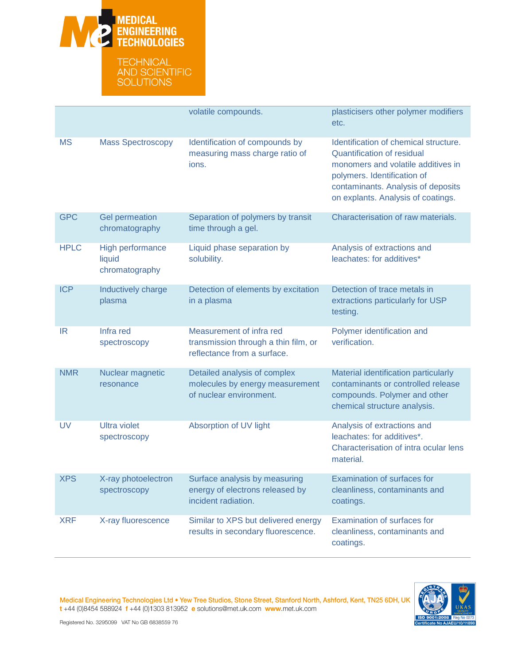

|             |                                              | volatile compounds.                                                                             | plasticisers other polymer modifiers<br>etc.                                                                                                                                                                                |
|-------------|----------------------------------------------|-------------------------------------------------------------------------------------------------|-----------------------------------------------------------------------------------------------------------------------------------------------------------------------------------------------------------------------------|
| <b>MS</b>   | <b>Mass Spectroscopy</b>                     | Identification of compounds by<br>measuring mass charge ratio of<br>ions.                       | Identification of chemical structure.<br><b>Quantification of residual</b><br>monomers and volatile additives in<br>polymers. Identification of<br>contaminants. Analysis of deposits<br>on explants. Analysis of coatings. |
| <b>GPC</b>  | <b>Gel permeation</b><br>chromatography      | Separation of polymers by transit<br>time through a gel.                                        | Characterisation of raw materials.                                                                                                                                                                                          |
| <b>HPLC</b> | High performance<br>liquid<br>chromatography | Liquid phase separation by<br>solubility.                                                       | Analysis of extractions and<br>leachates: for additives*                                                                                                                                                                    |
| <b>ICP</b>  | Inductively charge<br>plasma                 | Detection of elements by excitation<br>in a plasma                                              | Detection of trace metals in<br>extractions particularly for USP<br>testing.                                                                                                                                                |
| IR          | Infra red<br>spectroscopy                    | Measurement of infra red<br>transmission through a thin film, or<br>reflectance from a surface. | Polymer identification and<br>verification.                                                                                                                                                                                 |
| <b>NMR</b>  | Nuclear magnetic<br>resonance                | Detailed analysis of complex<br>molecules by energy measurement<br>of nuclear environment.      | Material identification particularly<br>contaminants or controlled release<br>compounds. Polymer and other<br>chemical structure analysis.                                                                                  |
| <b>UV</b>   | <b>Ultra violet</b><br>spectroscopy          | Absorption of UV light                                                                          | Analysis of extractions and<br>leachates: for additives*.<br>Characterisation of intra ocular lens<br>material.                                                                                                             |
| <b>XPS</b>  | X-ray photoelectron<br>spectroscopy          | Surface analysis by measuring<br>energy of electrons released by<br>incident radiation.         | <b>Examination of surfaces for</b><br>cleanliness, contaminants and<br>coatings.                                                                                                                                            |
| <b>XRF</b>  | X-ray fluorescence                           | Similar to XPS but delivered energy<br>results in secondary fluorescence.                       | Examination of surfaces for<br>cleanliness, contaminants and<br>coatings.                                                                                                                                                   |

Medical Engineering Technologies Ltd . Yew Tree Studios, Stone Street, Stanford North, Ashford, Kent, TN25 6DH, UK  $t + 44$  (0)8454 588924  $t + 44$  (0)1303 813952 **e** solutions@met.uk.com www.met.uk.com



Registered No. 3295099 VAT No GB 6838559 76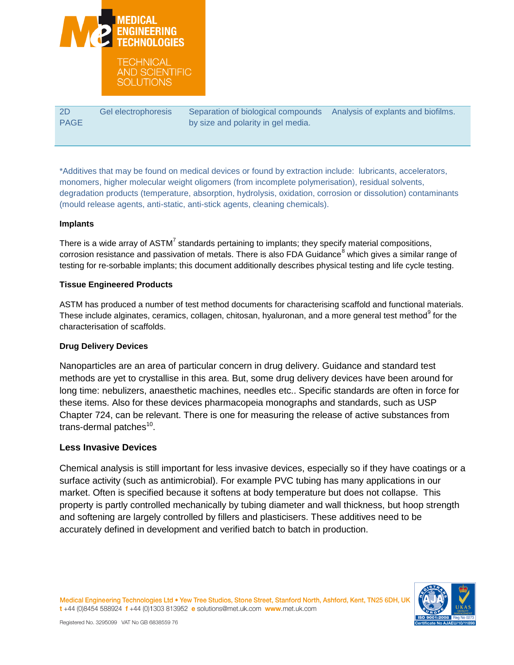

 $2D$ PAGE Gel electrophoresis Separation of biological compounds by size and polarity in gel media. Analysis of explants and biofilms.

\*Additives that may be found on medical devices or found by extraction include: lubricants, accelerators, monomers, higher molecular weight oligomers (from incomplete polymerisation), residual solvents, degradation products (temperature, absorption, hydrolysis, oxidation, corrosion or dissolution) contaminants (mould release agents, anti-static, anti-stick agents, cleaning chemicals).

#### **Implants**

There is a wide array of ASTM<sup>7</sup> standards pertaining to implants; they specify material compositions, corrosion resistance and passivation of metals. There is also FDA Guidance<sup>8</sup> which gives a similar range of testing for re-sorbable implants; this document additionally describes physical testing and life cycle testing.

#### **Tissue Engineered Products**

ASTM has produced a number of test method documents for characterising scaffold and functional materials. These include alginates, ceramics, collagen, chitosan, hyaluronan, and a more general test method $^9$  for the characterisation of scaffolds.

#### **Drug Delivery Devices**

Nanoparticles are an area of particular concern in drug delivery. Guidance and standard test methods are yet to crystallise in this area. But, some drug delivery devices have been around for long time: nebulizers, anaesthetic machines, needles etc.. Specific standards are often in force for these items. Also for these devices pharmacopeia monographs and standards, such as USP Chapter 724, can be relevant. There is one for measuring the release of active substances from trans-dermal patches<sup>10</sup>.

## **Less Invasive Devices**

Chemical analysis is still important for less invasive devices, especially so if they have coatings or a surface activity (such as antimicrobial). For example PVC tubing has many applications in our market. Often is specified because it softens at body temperature but does not collapse. This property is partly controlled mechanically by tubing diameter and wall thickness, but hoop strength and softening are largely controlled by fillers and plasticisers. These additives need to be accurately defined in development and verified batch to batch in production.

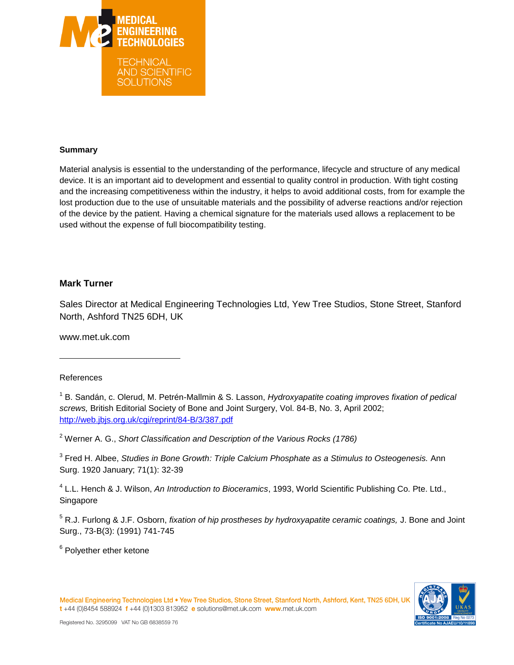

#### **Summary**

Material analysis is essential to the understanding of the performance, lifecycle and structure of any medical device. It is an important aid to development and essential to quality control in production. With tight costing and the increasing competitiveness within the industry, it helps to avoid additional costs, from for example the lost production due to the use of unsuitable materials and the possibility of adverse reactions and/or rejection of the device by the patient. Having a chemical signature for the materials used allows a replacement to be used without the expense of full biocompatibility testing.

## **Mark Turner**

Sales Director at Medical Engineering Technologies Ltd, Yew Tree Studios, Stone Street, Stanford North, Ashford TN25 6DH, UK

www.met.uk.com

#### References

l

1 B. Sandán, c. Olerud, M. Petrén-Mallmin & S. Lasson, *Hydroxyapatite coating improves fixation of pedical screws,* British Editorial Society of Bone and Joint Surgery, Vol. 84-B, No. 3, April 2002; <http://web.jbjs.org.uk/cgi/reprint/84-B/3/387.pdf>

<sup>2</sup> Werner A. G., *Short Classification and Description of the Various Rocks (1786)*

<sup>3</sup> Fred H. Albee, *Studies in Bone Growth: Triple Calcium Phosphate as a Stimulus to Osteogenesis. Ann* Surg. 1920 January; 71(1): 32-39

4 L.L. Hench & J. Wilson, *An Introduction to Bioceramics*, 1993, World Scientific Publishing Co. Pte. Ltd., Singapore

<sup>5</sup> R.J. Furlong & J.F. Osborn, *fixation of hip prostheses by hydroxyapatite ceramic coatings,* J. Bone and Joint Surg., 73-B(3): (1991) 741-745

<sup>6</sup> Polyether ether ketone